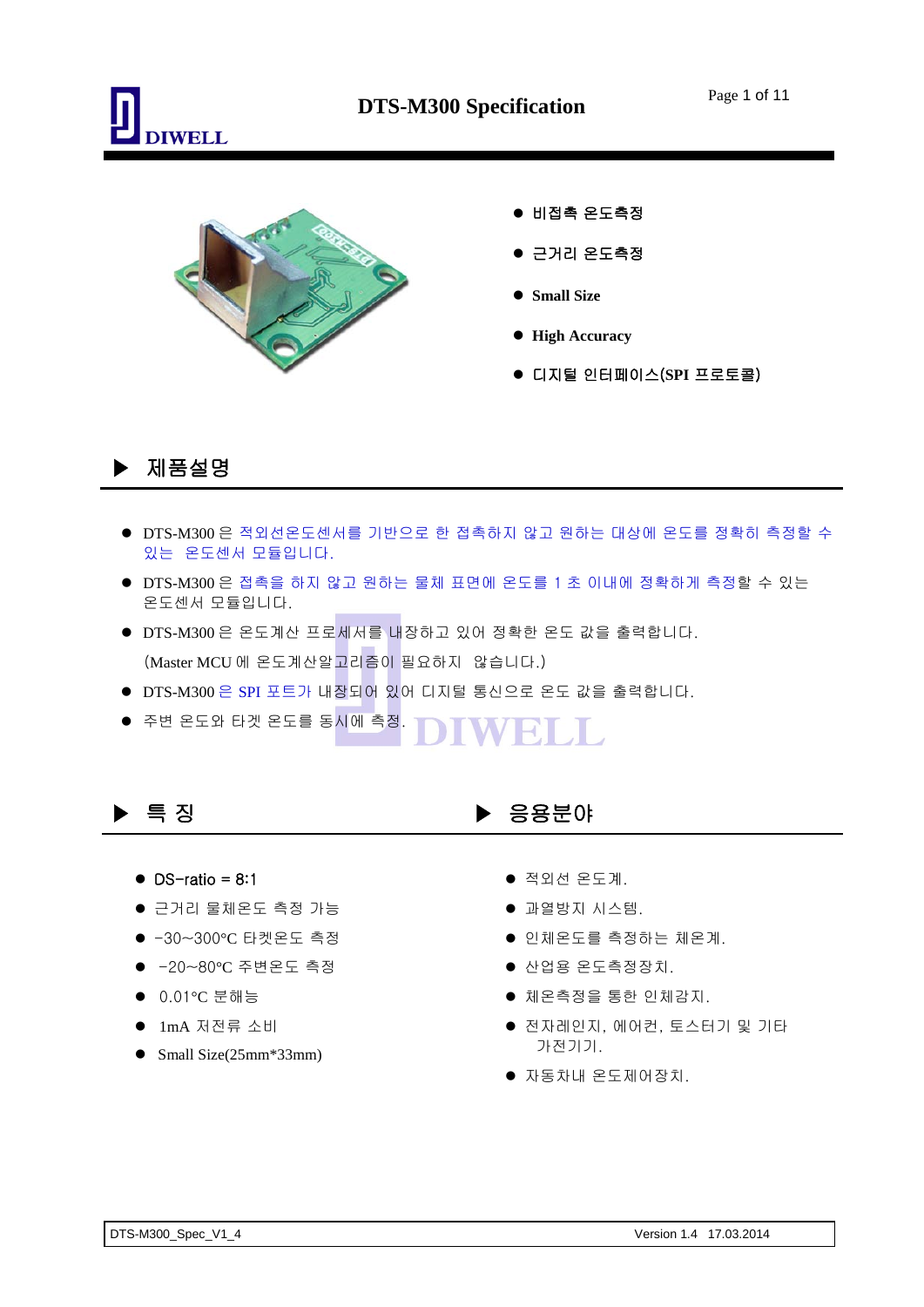



## ▶ 제품설명

- DTS-M300 은 적외선온도센서를 기반으로 한 접촉하지 않고 원하는 대상에 온도를 정확히 측정할 수 있는 온도센서 모듈입니다.
- DTS-M300 은 접촉을 하지 않고 원하는 물체 표면에 온도를 1 초 이내에 정확하게 측정할 수 있는 온도센서 모듈입니다.
- DTS-M300 은 온도계산 프로세서를 내장하고 있어 정확한 온도 값을 출력합니다. (Master MCU 에 온도계산알고리즘이 필요하지 않습니다.)
- DTS-M300 은 SPI 포트가 내장되어 있어 디지털 통신으로 온도 값을 출력합니다.
- 주변 온도와 타겟 온도를 동시에 측정. FOI SIL

- $\bullet$  DS-ratio = 8:1
- 근거리 물체온도 측정 가능
- -30~300°C 타켓온도 측정
- -20~80°C 주변온도 측정
- 0.01°C 분해능
- 1mA 저전류 소비
- Small Size(25mm\*33mm)

#### ▶ 특 징 ▶ 응용분야

- 적외선 온도계.
- 과열방지 시스템.
- 인체온도를 측정하는 체온계.
- 산업용 온도측정장치.
- 체온측정을 통한 인체감지.
- 전자레인지, 에어컨, 토스터기 및 기타 가전기기.
- 자동차내 온도제어장치.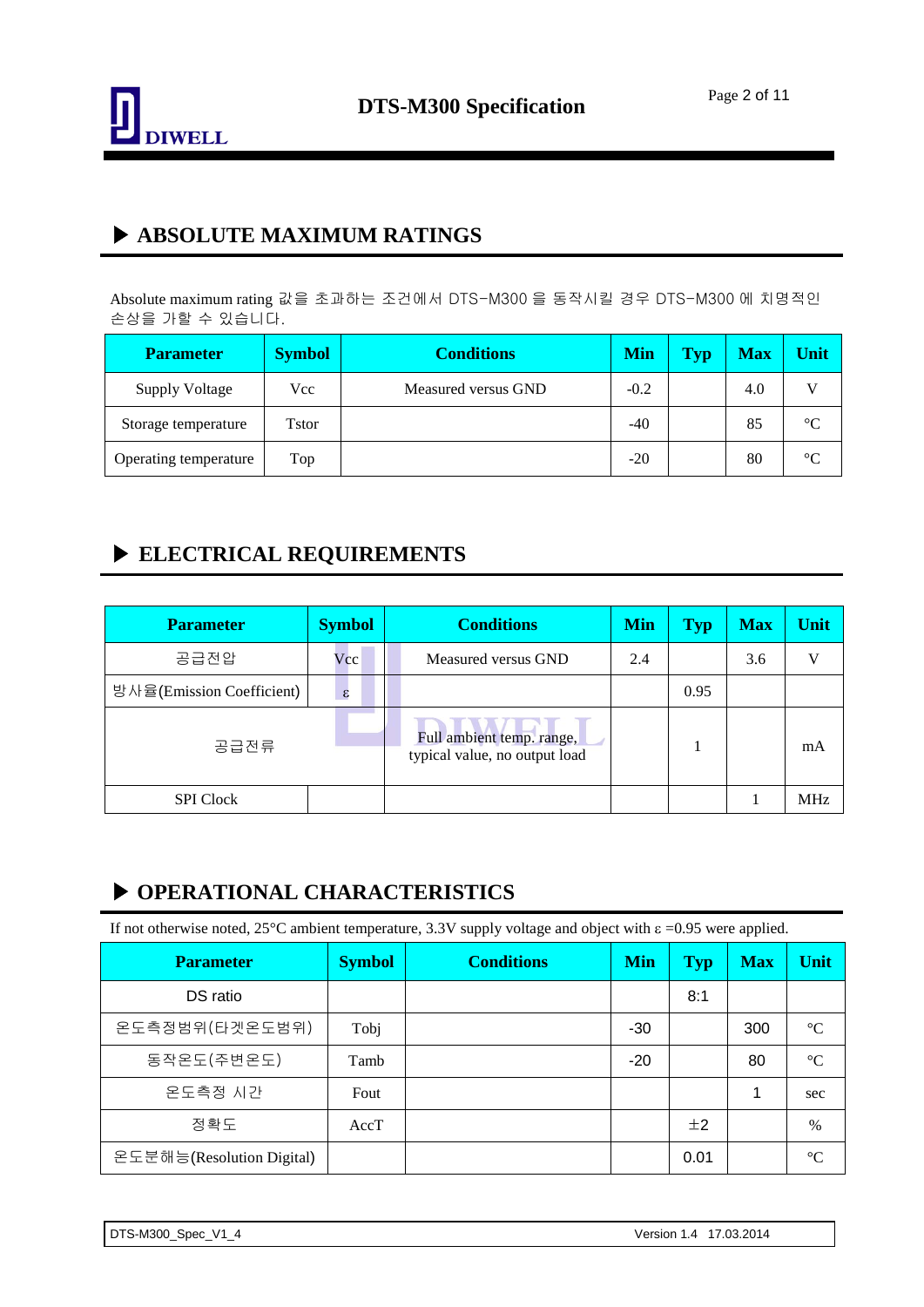

### ▶ **ABSOLUTE MAXIMUM RATINGS**

Absolute maximum rating 값을 초과하는 조건에서 DTS-M300 을 동작시킬 경우 DTS-M300 에 치명적인 손상을 가할 수 있습니다.

| <b>Parameter</b>      | <b>Symbol</b> | <b>Conditions</b>   | Min    | Typ | <b>Max</b> | Unit            |
|-----------------------|---------------|---------------------|--------|-----|------------|-----------------|
| <b>Supply Voltage</b> | Vcc           | Measured versus GND | $-0.2$ |     | 4.0        |                 |
| Storage temperature   | Tstor         |                     | $-40$  |     | 85         | $\rm ^{\circ}C$ |
| Operating temperature | Top           |                     | $-20$  |     | 80         | $\rm ^{\circ}C$ |

## ▶ **ELECTRICAL REQUIREMENTS**

| <b>Symbol</b><br><b>Parameter</b> |                            | <b>Conditions</b>                                          | <b>Min</b> | Typ  | <b>Max</b> | Unit |
|-----------------------------------|----------------------------|------------------------------------------------------------|------------|------|------------|------|
| 공급전압                              | Vcc                        | Measured versus GND                                        | 2.4        |      | 3.6        | V    |
| 방사율(Emission Coefficient)         | $\boldsymbol{\varepsilon}$ |                                                            |            | 0.95 |            |      |
| 공급전류                              |                            | Full ambient temp. range,<br>typical value, no output load |            |      |            | mA   |
| <b>SPI</b> Clock                  |                            |                                                            |            |      |            | MHz  |

#### ▶ **OPERATIONAL CHARACTERISTICS**

If not otherwise noted, 25°C ambient temperature, 3.3V supply voltage and object with  $\epsilon$  =0.95 were applied.

| <b>Parameter</b>          | <b>Symbol</b> | <b>Conditions</b> | <b>Min</b> | Typ  | <b>Max</b> | Unit            |
|---------------------------|---------------|-------------------|------------|------|------------|-----------------|
| DS ratio                  |               |                   |            | 8:1  |            |                 |
| 온도측정범위(타겟온도범위)            | Tobj          |                   | $-30$      |      | 300        | $\rm ^{\circ}C$ |
| 동작온도(주변온도)                | Tamb          |                   | $-20$      |      | 80         | $\rm ^{\circ}C$ |
| 온도측정 시간                   | Fout          |                   |            |      | 1          | sec             |
| 정확도                       | AccT          |                   |            | ±2   |            | $\%$            |
| 온도분해능(Resolution Digital) |               |                   |            | 0.01 |            | $\rm ^{\circ}C$ |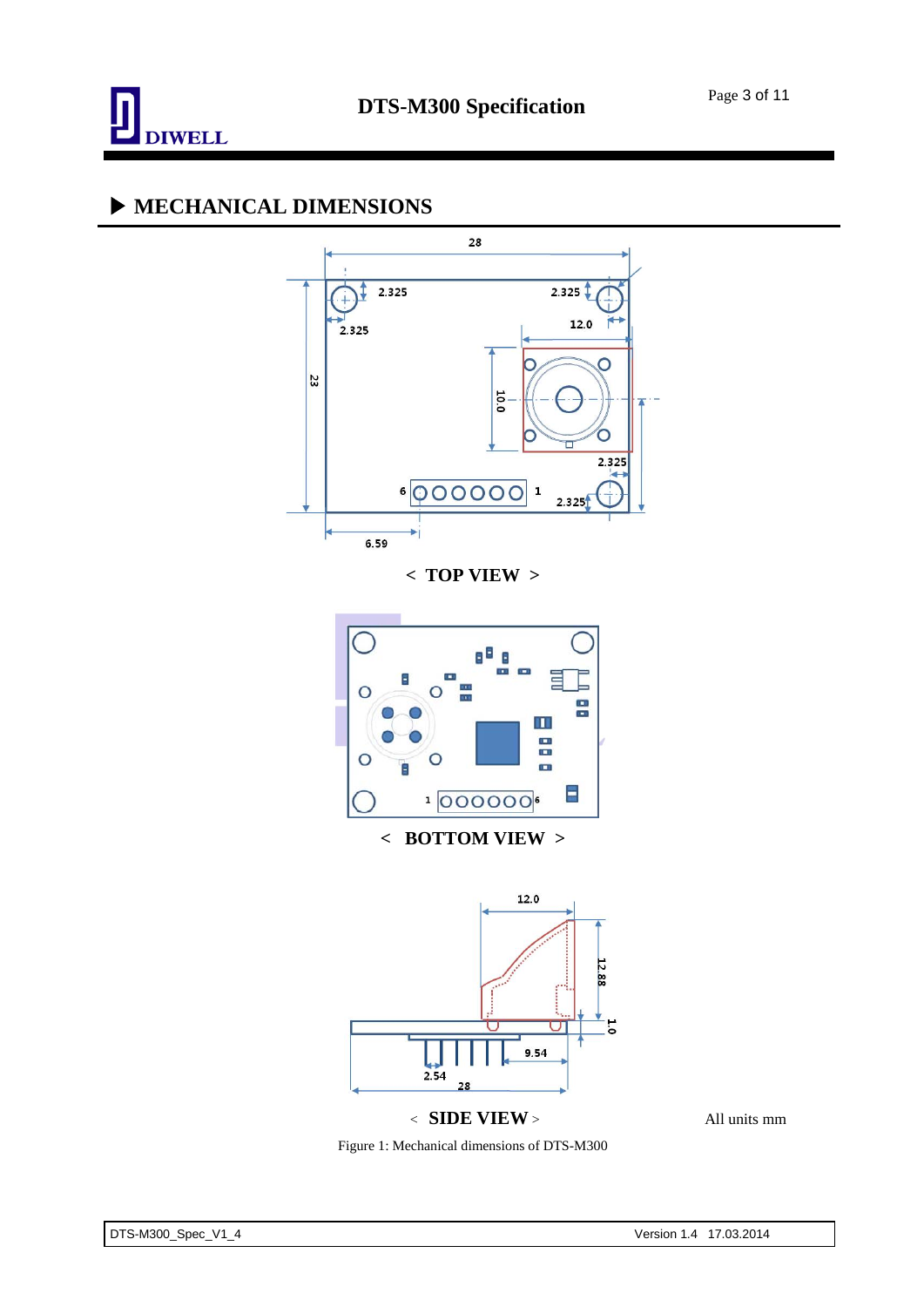

### ▶ **MECHANICAL DIMENSIONS**





< **SIDE VIEW** > All units mm

Figure 1: Mechanical dimensions of DTS-M300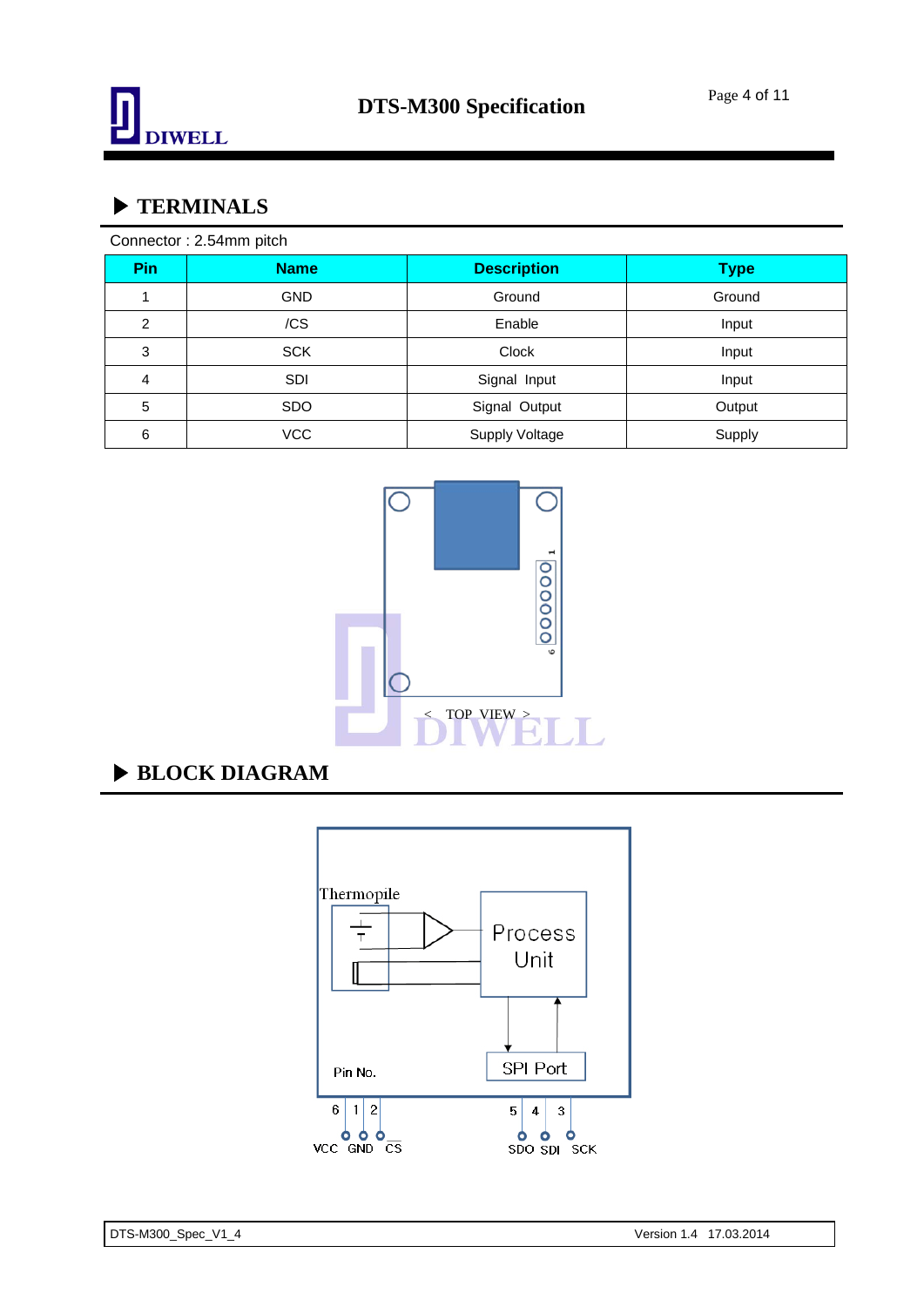

## ▶ **TERMINALS**

| Connector: 2.54mm pitch |             |                       |             |  |  |
|-------------------------|-------------|-----------------------|-------------|--|--|
| <b>Pin</b>              | <b>Name</b> | <b>Description</b>    | <b>Type</b> |  |  |
|                         | <b>GND</b>  | Ground                | Ground      |  |  |
| $\overline{c}$          | /CS         | Enable                | Input       |  |  |
| 3                       | <b>SCK</b>  | Clock                 | Input       |  |  |
| 4                       | <b>SDI</b>  | Signal Input          | Input       |  |  |
| 5                       | <b>SDO</b>  | Signal Output         | Output      |  |  |
| 6                       | <b>VCC</b>  | <b>Supply Voltage</b> | Supply      |  |  |



## ▶ **BLOCK DIAGRAM**

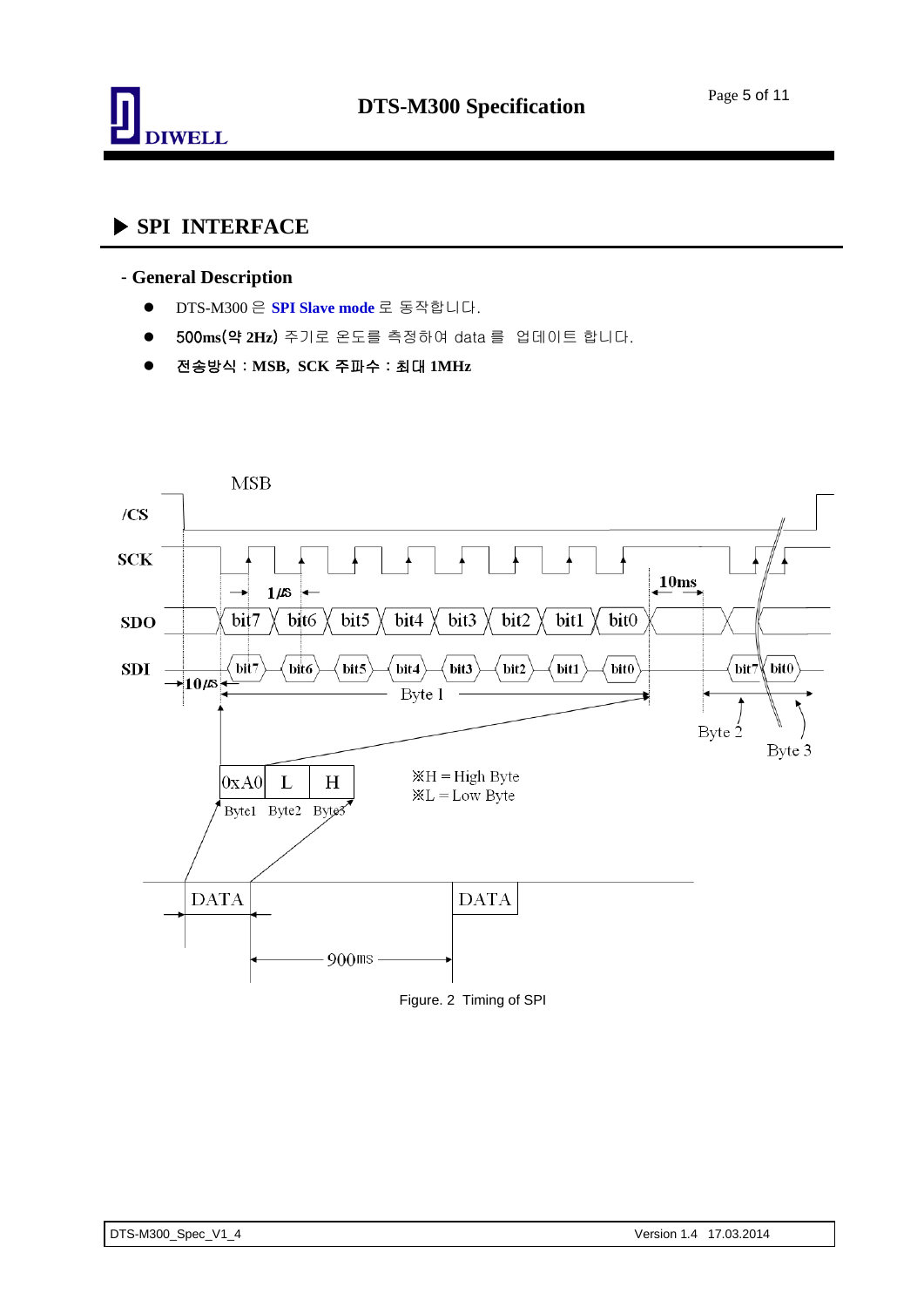

## ▶ **SPI INTERFACE**

#### - **General Description**

- DTS-M300 은 **SPI Slave mode** 로 동작합니다.
- 500**ms**(약 **2Hz**) 주기로 온도를 측정하여 data 를 업데이트 합니다.
- 전송방식 : **MSB, SCK** 주파수 : 최대 **1MHz**

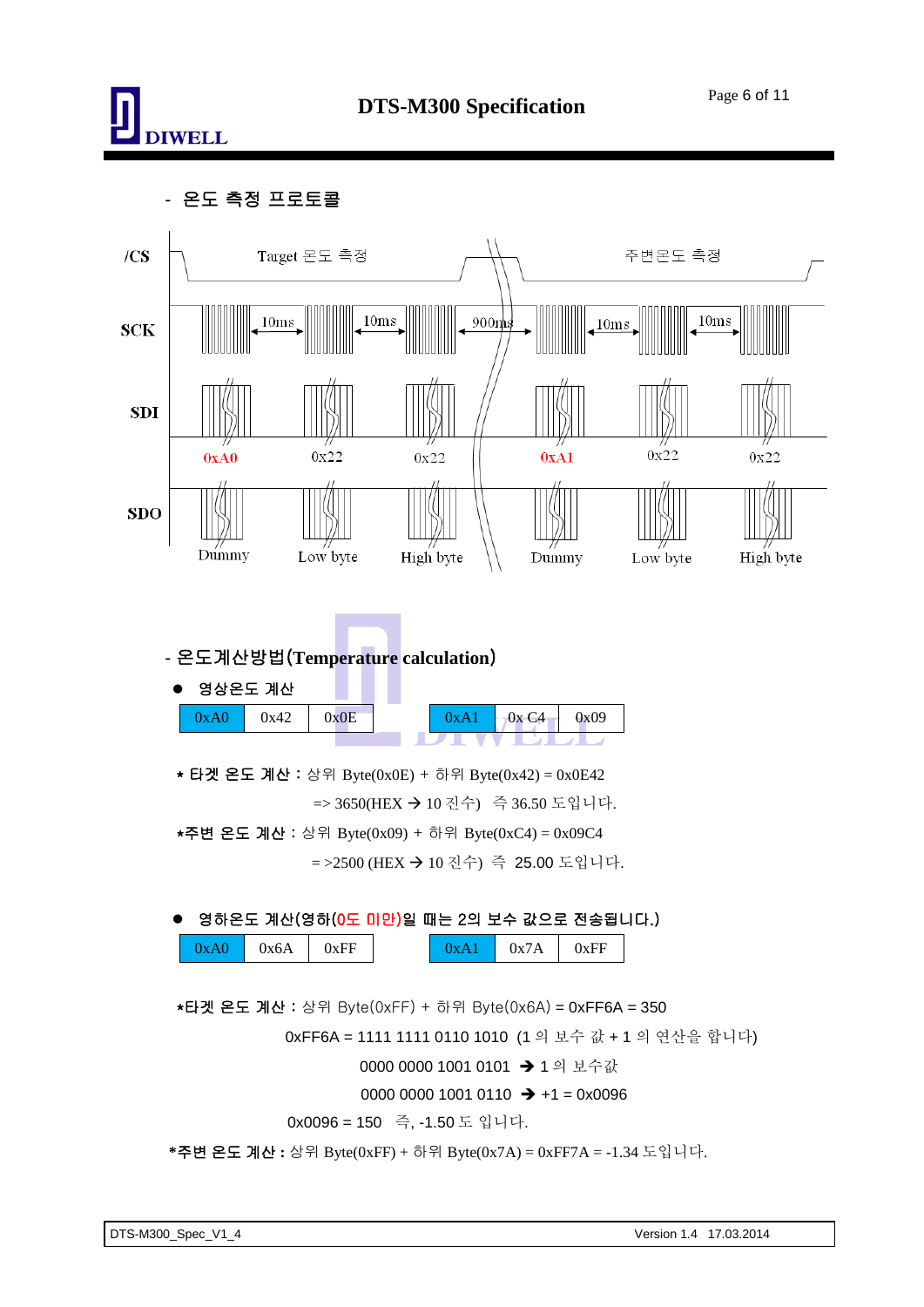

- 온도 측정 프로토콜

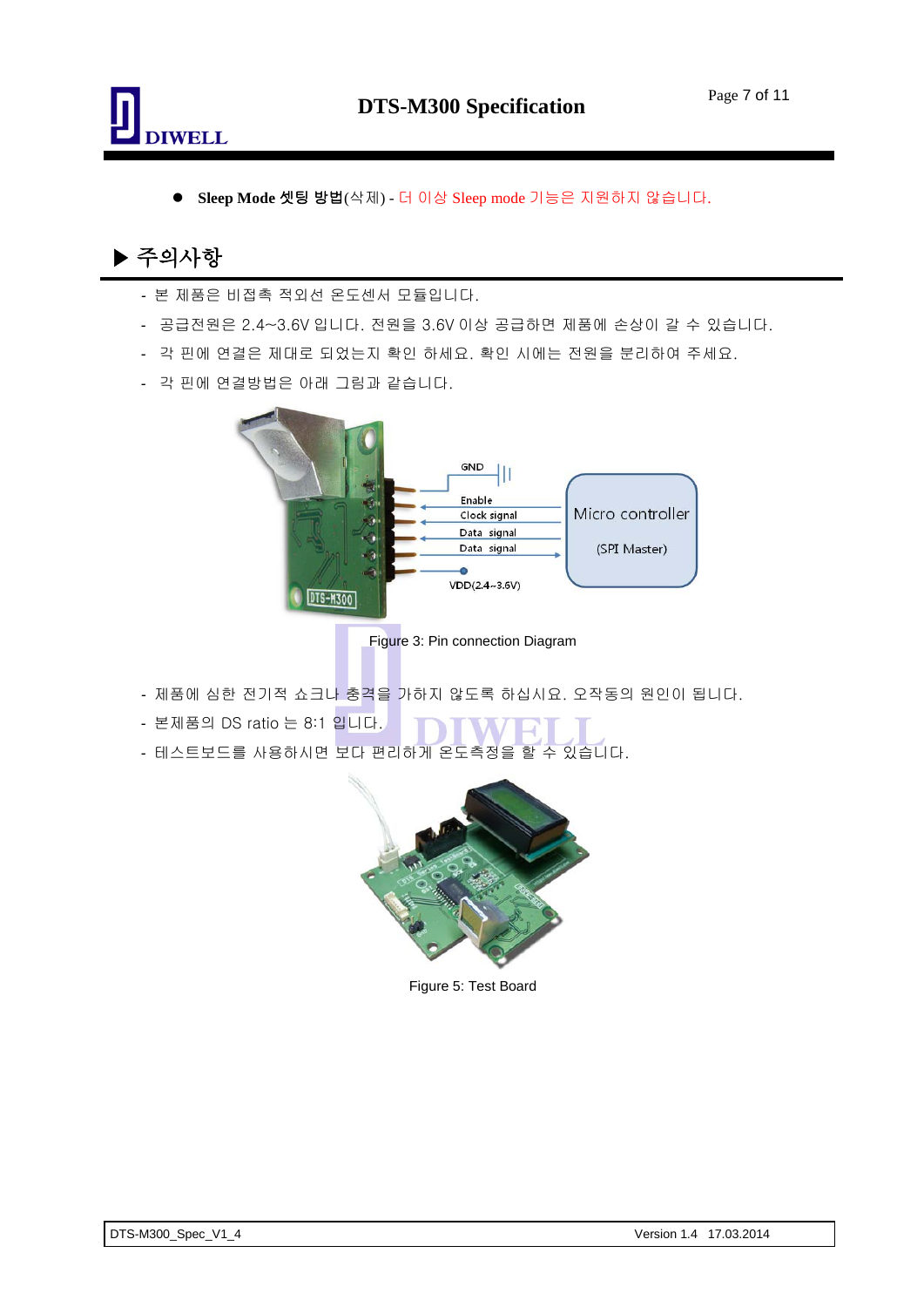

**Sleep Mode** 셋팅 방법(삭제) - 더 이상 Sleep mode 기능은 지원하지 않습니다.

# ▶ 주의사항

- 본 제품은 비접촉 적외선 온도센서 모듈입니다.
- 공급전원은 2.4~3.6V 입니다. 전원을 3.6V 이상 공급하면 제품에 손상이 갈 수 있습니다.
- 각 핀에 연결은 제대로 되었는지 확인 하세요. 확인 시에는 전원을 분리하여 주세요.
- 각 핀에 연결방법은 아래 그림과 같습니다.



Figure 3: Pin connection Diagram

- 제품에 심한 전기적 쇼크나 충격을 가하지 않도록 하십시요. 오작동의 원인이 됩니다.
- 본제품의 DS ratio 는 8:1 입니다.
- 테스트보드를 사용하시면 보다 편리하게 온도측정을 할 수 있습니다.



Figure 5: Test Board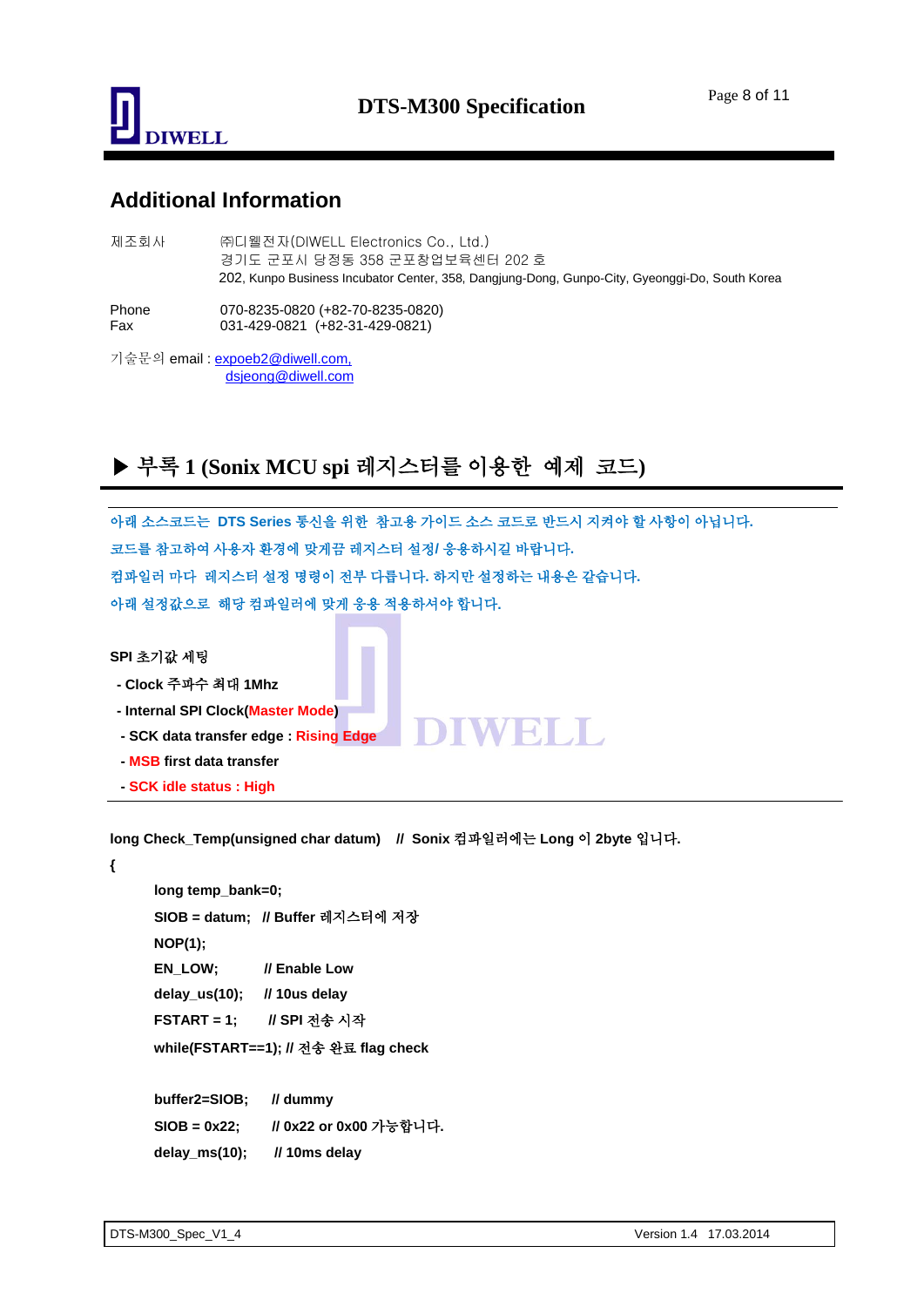

#### **Additional Information**

| 제조회사         | ㈜디웰전자(DIWELL Electronics Co., Ltd.)<br>경기도 군포시 당정동 358 군포창업보육센터 202 호<br>202, Kunpo Business Incubator Center, 358, Dangjung-Dong, Gunpo-City, Gyeonggi-Do, South Korea |
|--------------|-------------------------------------------------------------------------------------------------------------------------------------------------------------------------|
| Phone<br>Fax | 070-8235-0820 (+82-70-8235-0820)<br>031-429-0821 (+82-31-429-0821)                                                                                                      |
|              | 기술문의 email : expoeb2@diwell.com,                                                                                                                                        |

dsjeong@diwell.com

# ▶ 부록 **1 (Sonix MCU spi** 레지스터를 이용한예제코드**)**

아래 소스코드는 **DTS Series** 통신을 위한참고용 가이드 소스 코드로 반드시 지켜야 할 사항이 아닙니다**.**  코드를 참고하여 사용자 환경에 맞게끔 레지스터 설정**/** 응용하시길 바랍니다**.** 컴파일러 마다레지스터 설정 명령이 전부 다릅니다**.** 하지만 설정하는 내용은 같습니다**.**  아래 설정값으로해당 컴파일러에 맞게 응용 적용하셔야 합니다**.** 

DIWEILL

#### **SPI** 초기값 세팅

- **- Clock** 주파수 최대 **1Mhz**
- **- Internal SPI Clock(Master Mode)**
- **- SCK data transfer edge : Rising Edge**
- **- MSB first data transfer**
- **- SCK idle status : High**

**long Check\_Temp(unsigned char datum) // Sonix** 컴파일러에는 **Long** 이 **2byte** 입니다**.**

**{**

```
long temp_bank=0;
SIOB = datum; // Buffer 레지스터에 저장
NOP(1);
EN_LOW; // Enable Low
delay_us(10); // 10us delay
FSTART = 1; // SPI 전송 시작
 while(FSTART==1); // 전송 완료 flag check
```
**buffer2=SIOB; // dummy SIOB = 0x22; // 0x22 or 0x00** 가능합니다**. delay\_ms(10); // 10ms delay**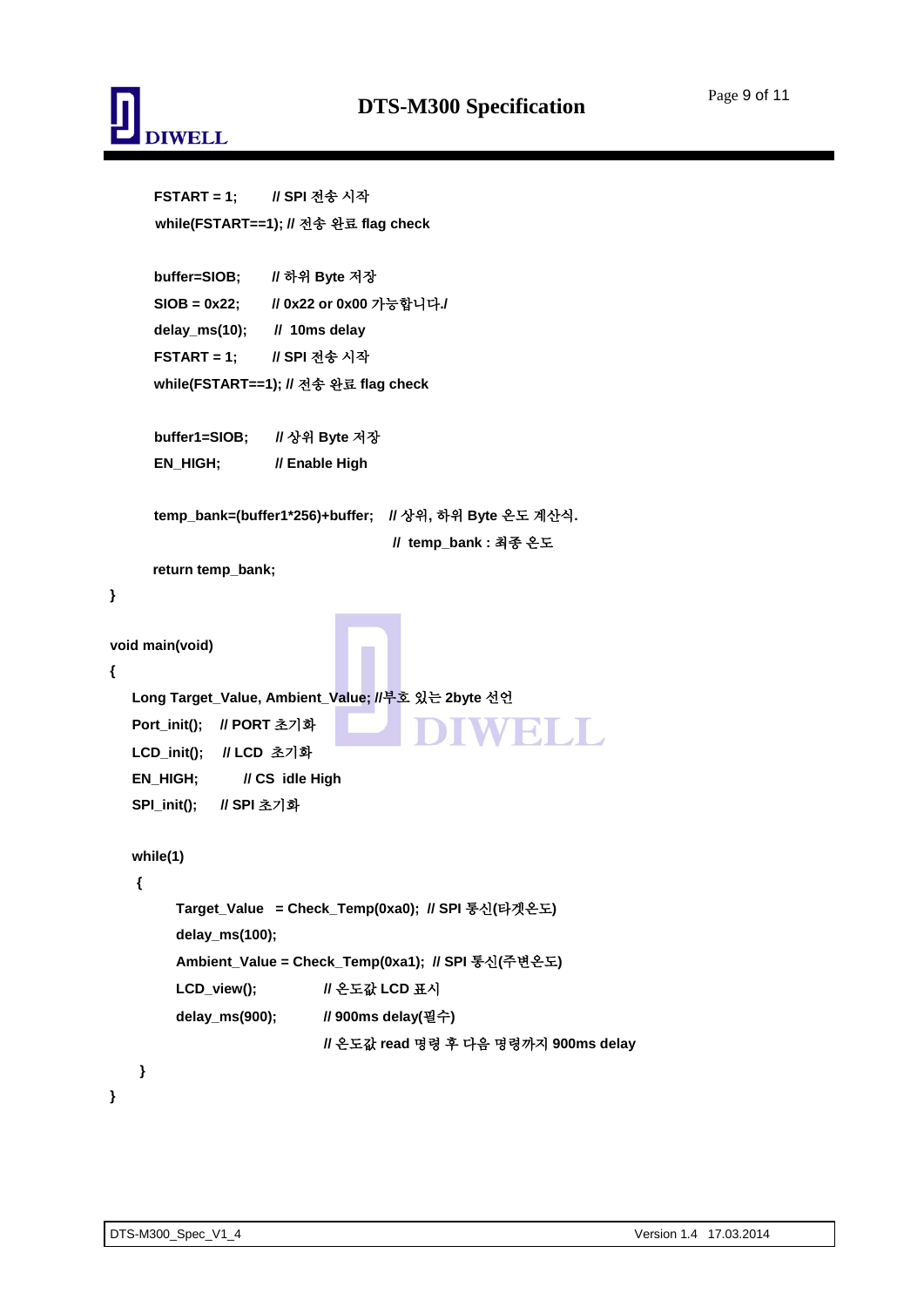

**}**

**{**

**}**

```
FSTART = 1; // SPI 전송 시작
      while(FSTART==1); // 전송 완료 flag check
     buffer=SIOB; // 하위 Byte 저장
     SIOB = 0x22; // 0x22 or 0x00 가능합니다./
     delay_ms(10); // 10ms delay
     FSTART = 1; // SPI 전송 시작
     while(FSTART==1); // 전송 완료 flag check
     buffer1=SIOB; // 상위 Byte 저장
     EN_HIGH; // Enable High
     temp_bank=(buffer1*256)+buffer; // 상위, 하위 Byte 온도 계산식. 
                                   // temp_bank : 최종 온도
      return temp_bank;
void main(void)
  Long Target_Value, Ambient_Value; //부호 있는 2byte 선언
  Port_init(); // PORT 초기화
                                                  EN DITO
   LCD_init(); // LCD 초기화
  EN_HIGH; // CS idle High
  SPI_init(); // SPI 초기화
  while(1)
   {
        Target_Value = Check_Temp(0xa0); // SPI 통신(타겟온도)
         delay_ms(100);
         Ambient_Value = Check_Temp(0xa1); // SPI 통신(주변온도)
        LCD_view(); // 온도값 LCD 표시
        delay_ms(900); // 900ms delay(필수)
                           // 온도값 read 명령 후 다음 명령까지 900ms delay
    }
```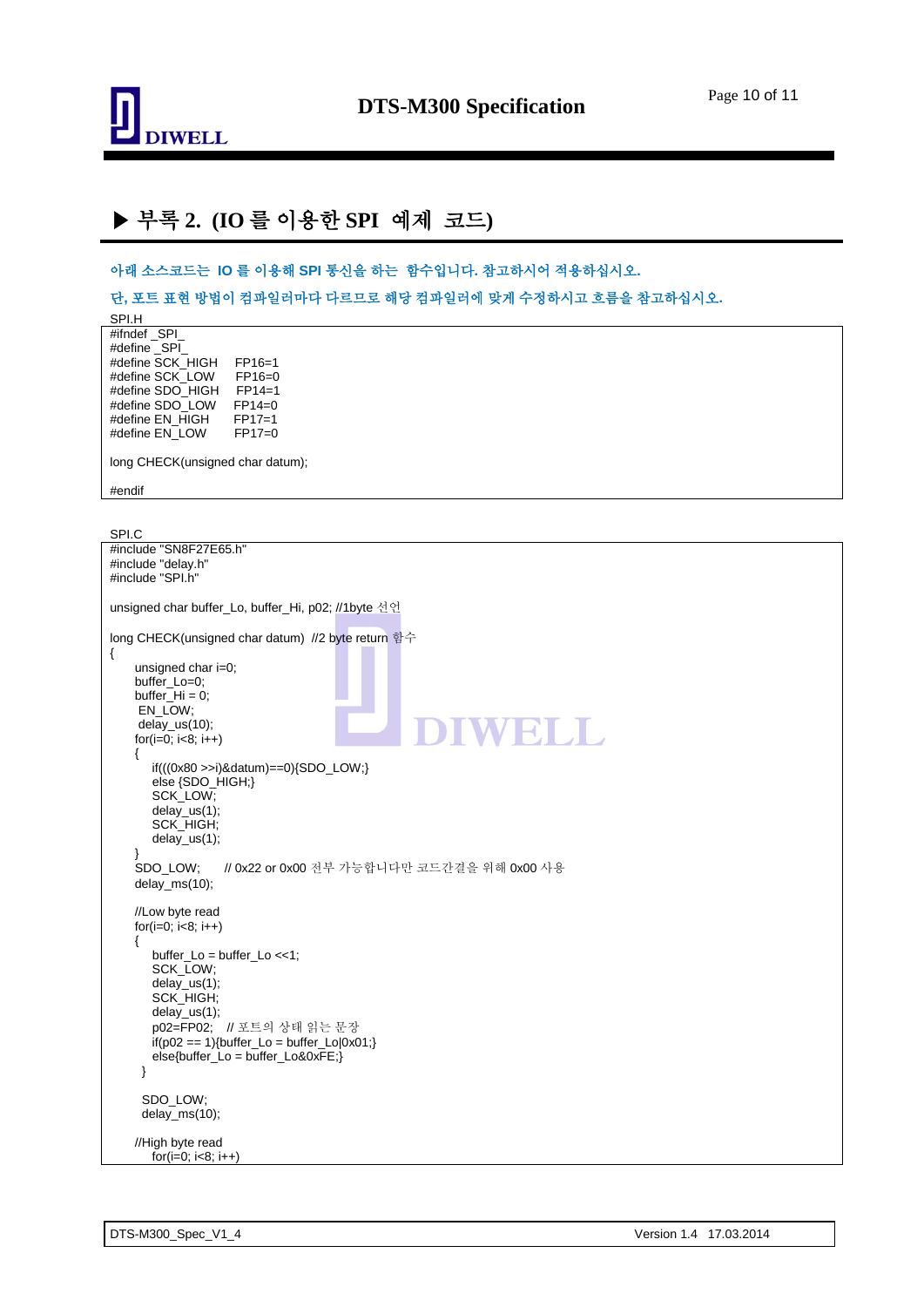

## ▶ 부록 **2. (IO** 를 이용한 **SPI** 예제코드**)**

아래 소스코드는 **IO** 를 이용해 **SPI** 통신을 하는함수입니다**.** 참고하시어 적용하십시오**.**

단**,** 포트 표현 방법이 컴파일러마다 다르므로 해당 컴파일러에 맞게 수정하시고 흐름을 참고하십시오**.**

SPI.H #ifndef \_SPI\_ #define \_SPI\_ #define SCK\_HIGH FP16=1<br>#define SCK\_LOW FP16=0 #define SCK\_LOW FP16=0<br>#define SDO\_HIGH FP14=1 #define SDO\_HIGH #define SDO\_LOW FP14=0<br>#define EN HIGH FP17=1 #define EN\_HIGH FP17=1<br>#define EN\_LOW FP17=0 #define EN\_LOW long CHECK(unsigned char datum); #endif

SPI.C #include "SN8F27E65.h" #include "delay.h" #include "SPI.h" unsigned char buffer\_Lo, buffer\_Hi, p02; //1byte 선언 long CHECK(unsigned char datum) //2 byte return 함수 { unsigned char i=0; buffer\_Lo=0; buffer $_H$ i = 0; EN\_LOW; delay\_us(10); WRIT for( $i=0$ ;  $i<8$ ;  $i++$ ) { if(((0x80 >>i)&datum)==0){SDO\_LOW;} else {SDO\_HIGH;} SCK\_LOW; delay\_us(1); SCK\_HIGH; delay\_us(1); SDO\_LOW; // 0x22 or 0x00 전부 가능합니다만 코드간결을 위해 0x00 사용 delay\_ms(10); //Low byte read for( $i=0$ ;  $i<8$ ;  $i++$ ) { buffer  $Lo = buffer$   $Lo < 1$ ; SCK\_LOW; delay\_us(1); SCK HIGH; delay\_us(1); p02=FP02; // 포트의 상태 읽는 문장  $if(p02 == 1)$ {buffer\_Lo = buffer\_Lo $|0x01\rangle$ } else{buffer\_Lo = buffer\_Lo&0xFE;} } SDO\_LOW; delay\_ms(10); //High byte read for( $i=0$ ;  $i<8$ ;  $i++$ )